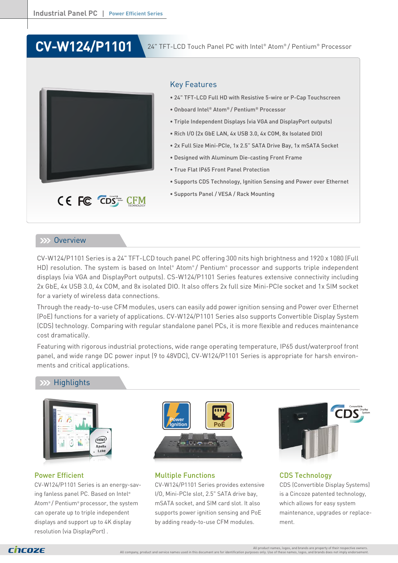# **CV-W124/P1101**

24" TFT-LCD Touch Panel PC with Intel® Atom® / Pentium® Processor



# Key Features

- 24" TFT-LCD Full HD with Resistive 5-wire or P-Cap Touchscreen
- Onboard Intel® Atom® / Pentium® Processor
- Triple Independent Displays (via VGA and DisplayPort outputs)
- Rich I/O (2x GbE LAN, 4x USB 3.0, 4x COM, 8x Isolated DIO)
- 2x Full Size Mini-PCIe, 1x 2.5" SATA Drive Bay, 1x mSATA Socket
- Designed with Aluminum Die-casting Front Frame
- True Flat IP65 Front Panel Protection
- Supports CDS Technology, Ignition Sensing and Power over Ethernet
- Supports Panel / VESA / Rack Mounting

## **EXX Overview**

CV-W124/P1101 Series is a 24" TFT-LCD touch panel PC offering 300 nits high brightness and 1920 x 1080 (Full HD) resolution. The system is based on Intel® Atom®/ Pentium® processor and supports triple independent displays (via VGA and DisplayPort outputs). CS-W124/P1101 Series features extensive connectivity including 2x GbE, 4x USB 3.0, 4x COM, and 8x isolated DIO. It also offers 2x full size Mini-PCIe socket and 1x SIM socket for a variety of wireless data connections.

Through the ready-to-use CFM modules, users can easily add power ignition sensing and Power over Ethernet (PoE) functions for a variety of applications. CV-W124/P1101 Series also supports Convertible Display System (CDS) technology. Comparing with regular standalone panel PCs, it is more flexible and reduces maintenance cost dramatically.

Featuring with rigorous industrial protections, wide range operating temperature, IP65 dust/waterproof front panel, and wide range DC power input (9 to 48VDC), CV-W124/P1101 Series is appropriate for harsh environments and critical applications.

# **Highlights**



### Power Efficient

CV-W124/P1101 Series is an energy-saving fanless panel PC. Based on Intel® Atom® / Pentium® processor, the system can operate up to triple independent displays and support up to 4K display resolution (via DisplayPort) .



### Multiple Functions

CV-W124/P1101 Series provides extensive I/O, Mini-PCIe slot, 2.5" SATA drive bay, mSATA socket, and SIM card slot. It also supports power ignition sensing and PoE by adding ready-to-use CFM modules.



CDS Technology CDS (Convertible Display Systems) is a Cincoze patented technology, which allows for easy system maintenance, upgrades or replacement.

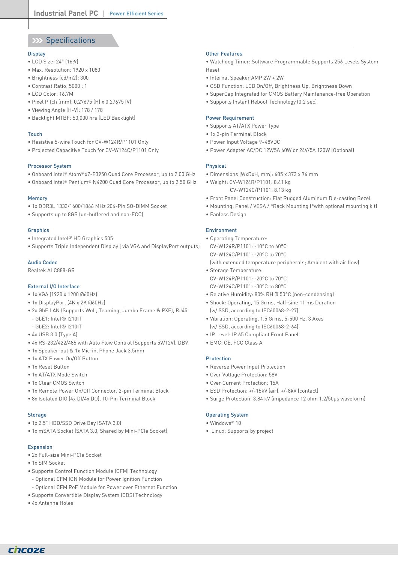# XX Specifications

#### **Display**

- LCD Size: 24" (16:9)
- Max. Resolution: 1920 x 1080
- Brightness (cd/m2): 300
- Contrast Ratio: 5000 : 1
- LCD Color: 16.7M
- Pixel Pitch (mm): 0.27675 (H) x 0.27675 (V)
- Viewing Angle (H-V): 178 / 178
- Backlight MTBF: 50,000 hrs (LED Backlight)

#### Touch

- Resistive 5-wire Touch for CV-W124R/P1101 Only
- Projected Capacitive Touch for CV-W124C/P1101 Only

#### Processor System

- Onboard Intel® Atom® x7-E3950 Quad Core Processor, up to 2.00 GHz
- Onboard Intel® Pentium® N4200 Quad Core Processor, up to 2.50 GHz

#### Memory

- 1x DDR3L 1333/1600/1866 MHz 204-Pin SO-DIMM Socket
- Supports up to 8GB (un-buffered and non-ECC)

#### **Graphics**

- Integrated Intel® HD Graphics 505
- Supports Triple Independent Display ( via VGA and DisplayPort outputs)

#### Audio Codec

Realtek ALC888-GR

#### External I/O Interface

- 1x VGA (1920 x 1200 @60Hz)
- 1x DisplayPort (4K x 2K @60Hz)
- 2x GbE LAN (Supports WoL, Teaming, Jumbo Frame & PXE), RJ45
- GbE1: Intel® I210IT
- GbE2: Intel® I210IT
- 4x USB 3.0 (Type A)
- 4x RS-232/422/485 with Auto Flow Control (Supports 5V/12V), DB9
- 1x Speaker-out & 1x Mic-in, Phone Jack 3.5mm
- 1x ATX Power On/Off Button
- 1x Reset Button
- 1x AT/ATX Mode Switch
- 1x Clear CMOS Switch
- 1x Remote Power On/Off Connector, 2-pin Terminal Block
- 8x Isolated DIO (4x DI/4x DO), 10-Pin Terminal Block

#### **Storage**

- 1x 2.5" HDD/SSD Drive Bay (SATA 3.0)
- 1x mSATA Socket (SATA 3.0, Shared by Mini-PCIe Socket)

#### **Expansion**

- 2x Full-size Mini-PCIe Socket
- 1x SIM Socket
- Supports Control Function Module (CFM) Technology
- Optional CFM IGN Module for Power Ignition Function
- Optional CFM PoE Module for Power over Ethernet Function
- Supports Convertible Display System (CDS) Technology
- 4x Antenna Holes

#### Other Features

• Watchdog Timer: Software Programmable Supports 256 Levels System Reset

- Internal Speaker AMP 2W + 2W
- OSD Function: LCD On/Off, Brightness Up, Brightness Down
- SuperCap Integrated for CMOS Battery Maintenance-free Operation
- Supports Instant Reboot Technology (0.2 sec)

#### Power Requirement

- Supports AT/ATX Power Type
- 1x 3-pin Terminal Block
- Power Input Voltage 9~48VDC
- Power Adapter AC/DC 12V/5A 60W or 24V/5A 120W (Optional)

#### Physical

- Dimensions (WxDxH, mm): 605 x 373 x 76 mm
- Weight: CV-W124R/P1101: 8.41 kg
	- CV-W124C/P1101: 8.13 kg
- Front Panel Construction: Flat Rugged Aluminum Die-casting Bezel
- Mounting: Panel / VESA / \*Rack Mounting (\*with optional mounting kit)
- Fanless Design

#### Environment

- Operating Temperature: CV-W124R/P1101: -10°C to 60°C CV-W124C/P1101: -20°C to 70°C
- (with extended temperature peripherals; Ambient with air flow)
- Storage Temperature: CV-W124R/P1101: -20°C to 70°C CV-W124C/P1101: -30°C to 80°C
- Relative Humidity: 80% RH @ 50°C (non-condensing)
- Shock: Operating, 15 Grms, Half-sine 11 ms Duration (w/ SSD, according to IEC60068-2-27)
- Vibration: Operating, 1.5 Grms, 5-500 Hz, 3 Axes (w/ SSD, according to IEC60068-2-64)
- IP Level: IP 65 Compliant Front Panel
- EMC: CE, FCC Class A

#### Protection

- Reverse Power Input Protection
- Over Voltage Protection: 58V
- Over Current Protection: 15A
- ESD Protection: +/-15kV (air), +/-8kV (contact)
- Surge Protection: 3.84 kV (impedance 12 ohm 1.2/50µs waveform)

#### Operating System

- Windows® 10
- Linux: Supports by project

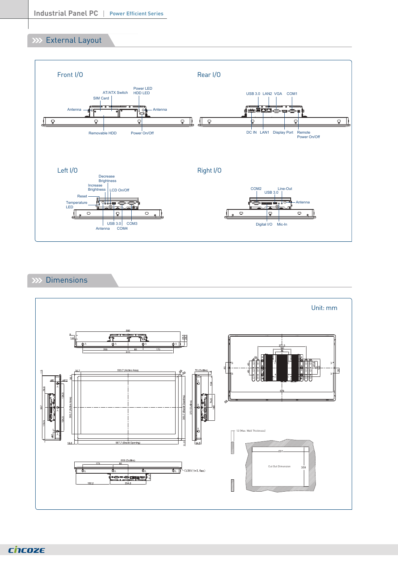# **XXX** External Layout



# XX Dimensions